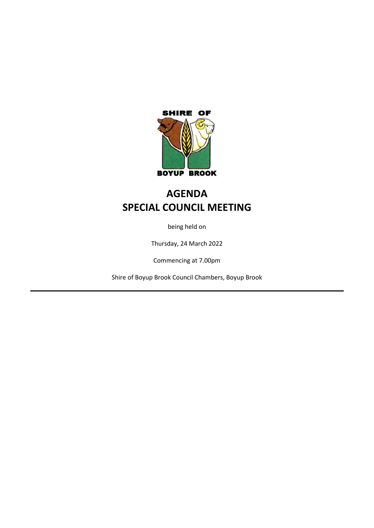

# **AGENDA SPECIAL COUNCIL MEETING**

being held on

Thursday, 24 March 2022

Commencing at 7.00pm

Shire of Boyup Brook Council Chambers, Boyup Brook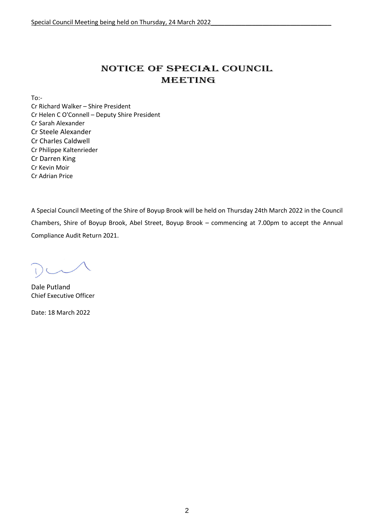# NOTICE OF Special COUNCIL MEETING

To:-

Cr Richard Walker – Shire President Cr Helen C O'Connell – Deputy Shire President Cr Sarah Alexander Cr Steele Alexander Cr Charles Caldwell Cr Philippe Kaltenrieder Cr Darren King Cr Kevin Moir Cr Adrian Price

A Special Council Meeting of the Shire of Boyup Brook will be held on Thursday 24th March 2022 in the Council Chambers, Shire of Boyup Brook, Abel Street, Boyup Brook – commencing at 7.00pm to accept the Annual Compliance Audit Return 2021.

Dale Putland Chief Executive Officer

Date: 18 March 2022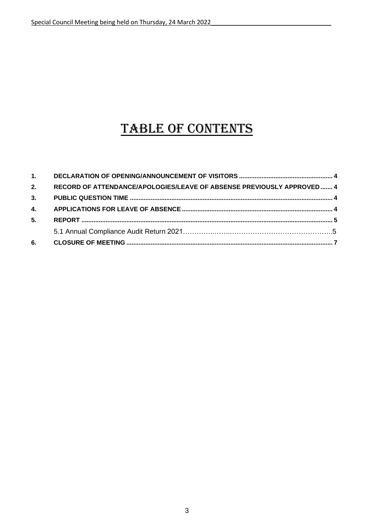# TABLE OF CONTENTS

| 5. |                                                                       |  |
|----|-----------------------------------------------------------------------|--|
|    |                                                                       |  |
|    |                                                                       |  |
| 2. | RECORD OF ATTENDANCE/APOLOGIES/LEAVE OF ABSENSE PREVIOUSLY APPROVED 4 |  |
|    |                                                                       |  |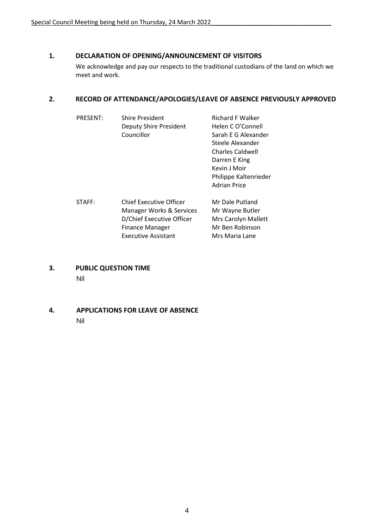# <span id="page-3-0"></span>**1. DECLARATION OF OPENING/ANNOUNCEMENT OF VISITORS**

We acknowledge and pay our respects to the traditional custodians of the land on which we meet and work.

# <span id="page-3-1"></span>**2. RECORD OF ATTENDANCE/APOLOGIES/LEAVE OF ABSENCE PREVIOUSLY APPROVED**

| <b>PRESENT:</b> | Shire President                | <b>Richard F Walker</b> |
|-----------------|--------------------------------|-------------------------|
|                 | Deputy Shire President         | Helen C O'Connell       |
|                 | Councillor                     | Sarah E G Alexander     |
|                 |                                | Steele Alexander        |
|                 |                                | <b>Charles Caldwell</b> |
|                 |                                | Darren E King           |
|                 |                                | Kevin J Moir            |
|                 |                                | Philippe Kaltenrieder   |
|                 |                                | <b>Adrian Price</b>     |
| STAFF:          | <b>Chief Executive Officer</b> | Mr Dale Putland         |
|                 | Manager Works & Services       | Mr Wayne Butler         |
|                 | D/Chief Executive Officer      | Mrs Carolyn Mallett     |
|                 | <b>Finance Manager</b>         | Mr Ben Robinson         |
|                 | <b>Executive Assistant</b>     | Mrs Maria Lane          |

- <span id="page-3-2"></span>**3. PUBLIC QUESTION TIME** Nil
- <span id="page-3-3"></span>**4. APPLICATIONS FOR LEAVE OF ABSENCE** Nil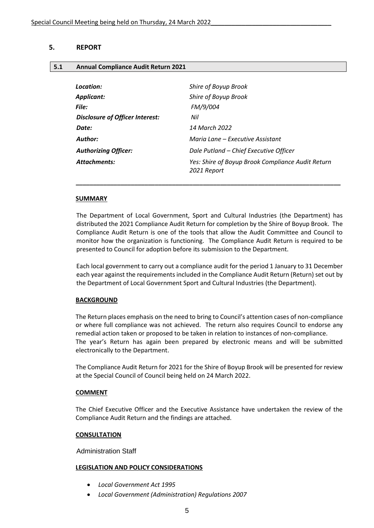# <span id="page-4-0"></span>**5. REPORT**

#### **5.1 Annual Compliance Audit Return 2021**

| Location:                       | Shire of Boyup Brook                                             |
|---------------------------------|------------------------------------------------------------------|
| <b>Applicant:</b>               | Shire of Boyup Brook                                             |
| File:                           | FM/9/004                                                         |
| Disclosure of Officer Interest: | Nil                                                              |
| Date:                           | 14 March 2022                                                    |
| Author:                         | Maria Lane - Executive Assistant                                 |
| <b>Authorizing Officer:</b>     | Dale Putland - Chief Executive Officer                           |
| <b>Attachments:</b>             | Yes: Shire of Boyup Brook Compliance Audit Return<br>2021 Report |
|                                 |                                                                  |

 *\_\_\_\_\_\_\_\_\_\_\_\_\_\_\_\_\_\_\_\_\_\_\_\_\_\_\_\_\_\_\_\_\_\_\_\_\_\_\_\_\_\_\_\_\_\_\_\_\_\_\_\_\_\_\_\_\_\_\_\_\_\_\_\_\_\_\_\_\_\_\_\_\_\_\_\_\_*

#### **SUMMARY**

The Department of Local Government, Sport and Cultural Industries (the Department) has distributed the 2021 Compliance Audit Return for completion by the Shire of Boyup Brook. The Compliance Audit Return is one of the tools that allow the Audit Committee and Council to monitor how the organization is functioning. The Compliance Audit Return is required to be presented to Council for adoption before its submission to the Department.

Each local government to carry out a compliance audit for the period 1 January to 31 December each year against the requirements included in the Compliance Audit Return (Return) set out by the Department of Local Government Sport and Cultural Industries (the Department).

#### **BACKGROUND**

The Return places emphasis on the need to bring to Council's attention cases of non-compliance or where full compliance was not achieved. The return also requires Council to endorse any remedial action taken or proposed to be taken in relation to instances of non-compliance. The year's Return has again been prepared by electronic means and will be submitted electronically to the Department.

The Compliance Audit Return for 2021 for the Shire of Boyup Brook will be presented for review at the Special Council of Council being held on 24 March 2022.

#### **COMMENT**

The Chief Executive Officer and the Executive Assistance have undertaken the review of the Compliance Audit Return and the findings are attached.

#### **CONSULTATION**

Administration Staff

#### **LEGISLATION AND POLICY CONSIDERATIONS**

- *Local Government Act 1995*
- *Local Government (Administration) Regulations 2007*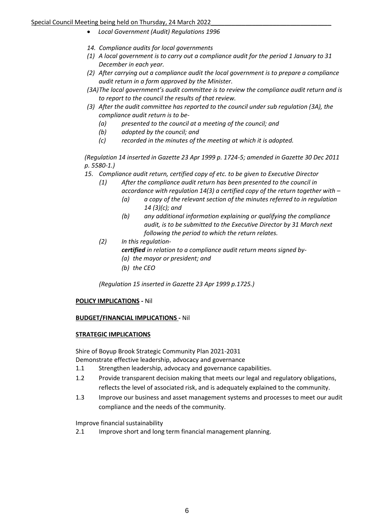- *Local Government (Audit) Regulations 1996*
- *14. Compliance audits for local governments*
- *(1) A local government is to carry out a compliance audit for the period 1 January to 31 December in each year.*
- *(2) After carrying out a compliance audit the local government is to prepare a compliance audit return in a form approved by the Minister.*
- *(3A)The local government's audit committee is to review the compliance audit return and is to report to the council the results of that review.*
- *(3) After the audit committee has reported to the council under sub regulation (3A), the compliance audit return is to be-*
	- *(a) presented to the council at a meeting of the council; and*
	- *(b) adopted by the council; and*
	- *(c) recorded in the minutes of the meeting at which it is adopted.*

*(Regulation 14 inserted in Gazette 23 Apr 1999 p. 1724-5; amended in Gazette 30 Dec 2011 p. 5580-1.)*

*15. Compliance audit return, certified copy of etc. to be given to Executive Director*

- *(1) After the compliance audit return has been presented to the council in* 
	- *accordance with regulation 14(3) a certified copy of the return together with –*
		- *(a) a copy of the relevant section of the minutes referred to in regulation 14 (3)(c); and*
		- *(b) any additional information explaining or qualifying the compliance audit, is to be submitted to the Executive Director by 31 March next following the period to which the return relates.*
- *(2) In this regulation*
	- *certified in relation to a compliance audit return means signed by-*
	- *(a) the mayor or president; and*
	- *(b) the CEO*

*(Regulation 15 inserted in Gazette 23 Apr 1999 p.1725.)*

# **POLICY IMPLICATIONS -** Nil

# **BUDGET/FINANCIAL IMPLICATIONS -** Nil

# **STRATEGIC IMPLICATIONS**

Shire of Boyup Brook Strategic Community Plan 2021-2031

Demonstrate effective leadership, advocacy and governance

- 1.1 Strengthen leadership, advocacy and governance capabilities.
- 1.2 Provide transparent decision making that meets our legal and regulatory obligations, reflects the level of associated risk, and is adequately explained to the community.
- 1.3 Improve our business and asset management systems and processes to meet our audit compliance and the needs of the community.

Improve financial sustainability

2.1 Improve short and long term financial management planning.